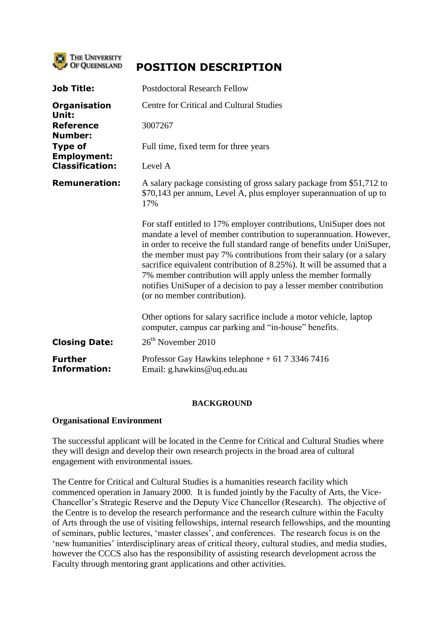

# **POSITION DESCRIPTION**

| Job Title:                            | <b>Postdoctoral Research Fellow</b>                                                                                                                                                                                                                                                                                                                                                                                                                                                                                                          |
|---------------------------------------|----------------------------------------------------------------------------------------------------------------------------------------------------------------------------------------------------------------------------------------------------------------------------------------------------------------------------------------------------------------------------------------------------------------------------------------------------------------------------------------------------------------------------------------------|
| Organisation<br>Unit:                 | Centre for Critical and Cultural Studies                                                                                                                                                                                                                                                                                                                                                                                                                                                                                                     |
| <b>Reference</b><br><b>Number:</b>    | 3007267                                                                                                                                                                                                                                                                                                                                                                                                                                                                                                                                      |
| <b>Type of</b><br><b>Employment:</b>  | Full time, fixed term for three years                                                                                                                                                                                                                                                                                                                                                                                                                                                                                                        |
| <b>Classification:</b>                | Level A                                                                                                                                                                                                                                                                                                                                                                                                                                                                                                                                      |
| <b>Remuneration:</b>                  | A salary package consisting of gross salary package from \$51,712 to<br>\$70,143 per annum, Level A, plus employer superannuation of up to<br>17%                                                                                                                                                                                                                                                                                                                                                                                            |
|                                       | For staff entitled to 17% employer contributions, UniSuper does not<br>mandate a level of member contribution to superannuation. However,<br>in order to receive the full standard range of benefits under UniSuper,<br>the member must pay 7% contributions from their salary (or a salary<br>sacrifice equivalent contribution of 8.25%). It will be assumed that a<br>7% member contribution will apply unless the member formally<br>notifies UniSuper of a decision to pay a lesser member contribution<br>(or no member contribution). |
|                                       | Other options for salary sacrifice include a motor vehicle, laptop<br>computer, campus car parking and "in-house" benefits.                                                                                                                                                                                                                                                                                                                                                                                                                  |
| <b>Closing Date:</b>                  | 26 <sup>th</sup> November 2010                                                                                                                                                                                                                                                                                                                                                                                                                                                                                                               |
| <b>Further</b><br><b>Information:</b> | Professor Gay Hawkins telephone $+$ 61 7 3346 7416<br>Email: g.hawkins@uq.edu.au                                                                                                                                                                                                                                                                                                                                                                                                                                                             |

#### **BACKGROUND**

#### **Organisational Environment**

The successful applicant will be located in the Centre for Critical and Cultural Studies where they will design and develop their own research projects in the broad area of cultural engagement with environmental issues.

The Centre for Critical and Cultural Studies is a humanities research facility which commenced operation in January 2000. It is funded jointly by the Faculty of Arts, the Vice-Chancellor"s Strategic Reserve and the Deputy Vice Chancellor (Research). The objective of the Centre is to develop the research performance and the research culture within the Faculty of Arts through the use of visiting fellowships, internal research fellowships, and the mounting of seminars, public lectures, "master classes", and conferences. The research focus is on the "new humanities" interdisciplinary areas of critical theory, cultural studies, and media studies, however the CCCS also has the responsibility of assisting research development across the Faculty through mentoring grant applications and other activities.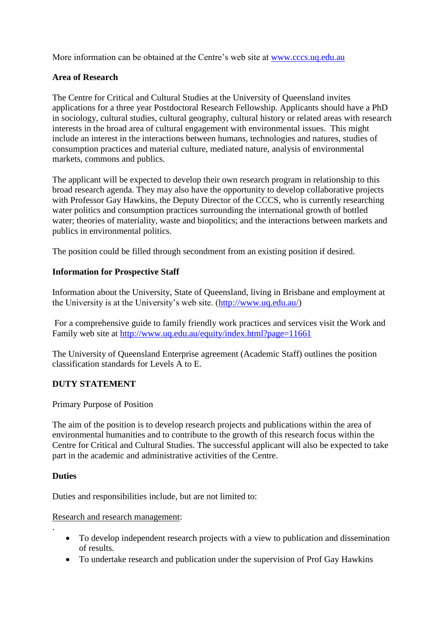More information can be obtained at the Centre's web site at [www.cccs.uq.edu.au](http://www.cccs.uq.edu.au/)

## **Area of Research**

The Centre for Critical and Cultural Studies at the University of Queensland invites applications for a three year Postdoctoral Research Fellowship. Applicants should have a PhD in sociology, cultural studies, cultural geography, cultural history or related areas with research interests in the broad area of cultural engagement with environmental issues. This might include an interest in the interactions between humans, technologies and natures, studies of consumption practices and material culture, mediated nature, analysis of environmental markets, commons and publics.

The applicant will be expected to develop their own research program in relationship to this broad research agenda. They may also have the opportunity to develop collaborative projects with Professor Gay Hawkins, the Deputy Director of the CCCS, who is currently researching water politics and consumption practices surrounding the international growth of bottled water; theories of materiality, waste and biopolitics; and the interactions between markets and publics in environmental politics.

The position could be filled through secondment from an existing position if desired.

### **Information for Prospective Staff**

Information about the University, State of Queensland, living in Brisbane and employment at the University is at the University"s web site. [\(http://www.uq.edu.au/\)](http://www.uq.edu.au/)

For a comprehensive guide to family friendly work practices and services visit the Work and Family web site at<http://www.uq.edu.au/equity/index.html?page=11661>

The University of Queensland Enterprise agreement (Academic Staff) outlines the position classification standards for Levels A to E.

### **DUTY STATEMENT**

Primary Purpose of Position

The aim of the position is to develop research projects and publications within the area of environmental humanities and to contribute to the growth of this research focus within the Centre for Critical and Cultural Studies. The successful applicant will also be expected to take part in the academic and administrative activities of the Centre.

### **Duties**

.

Duties and responsibilities include, but are not limited to:

Research and research management:

- To develop independent research projects with a view to publication and dissemination of results.
- To undertake research and publication under the supervision of Prof Gay Hawkins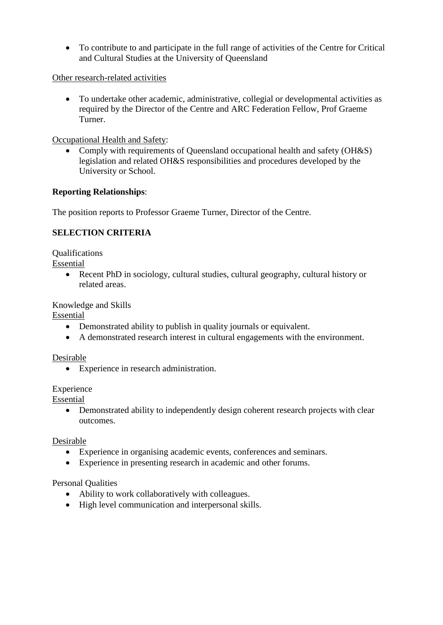To contribute to and participate in the full range of activities of the Centre for Critical and Cultural Studies at the University of Queensland

Other research-related activities

 To undertake other academic, administrative, collegial or developmental activities as required by the Director of the Centre and ARC Federation Fellow, Prof Graeme Turner.

Occupational Health and Safety:

• Comply with requirements of Queensland occupational health and safety (OH&S) legislation and related OH&S responsibilities and procedures developed by the University or School.

## **Reporting Relationships**:

The position reports to Professor Graeme Turner, Director of the Centre.

# **SELECTION CRITERIA**

Qualifications

Essential

 Recent PhD in sociology, cultural studies, cultural geography, cultural history or related areas.

Knowledge and Skills

Essential

- Demonstrated ability to publish in quality journals or equivalent.
- A demonstrated research interest in cultural engagements with the environment.

### Desirable

Experience in research administration.

### Experience

Essential

• Demonstrated ability to independently design coherent research projects with clear outcomes.

## Desirable

- Experience in organising academic events, conferences and seminars.
- Experience in presenting research in academic and other forums.

### Personal Qualities

- Ability to work collaboratively with colleagues.
- High level communication and interpersonal skills.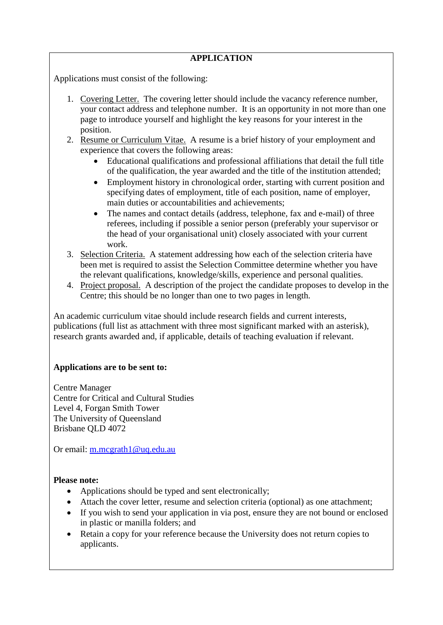## **APPLICATION**

Applications must consist of the following:

- 1. Covering Letter. The covering letter should include the vacancy reference number, your contact address and telephone number. It is an opportunity in not more than one page to introduce yourself and highlight the key reasons for your interest in the position.
- 2. Resume or Curriculum Vitae. A resume is a brief history of your employment and experience that covers the following areas:
	- Educational qualifications and professional affiliations that detail the full title of the qualification, the year awarded and the title of the institution attended;
	- Employment history in chronological order, starting with current position and specifying dates of employment, title of each position, name of employer, main duties or accountabilities and achievements;
	- The names and contact details (address, telephone, fax and e-mail) of three referees, including if possible a senior person (preferably your supervisor or the head of your organisational unit) closely associated with your current work.
- 3. Selection Criteria. A statement addressing how each of the selection criteria have been met is required to assist the Selection Committee determine whether you have the relevant qualifications, knowledge/skills, experience and personal qualities.
- 4. Project proposal. A description of the project the candidate proposes to develop in the Centre; this should be no longer than one to two pages in length.

An academic curriculum vitae should include research fields and current interests, publications (full list as attachment with three most significant marked with an asterisk), research grants awarded and, if applicable, details of teaching evaluation if relevant.

## **Applications are to be sent to:**

Centre Manager Centre for Critical and Cultural Studies Level 4, Forgan Smith Tower The University of Queensland Brisbane QLD 4072

Or email: [m.mcgrath1@uq.edu.au](mailto:m.mcgrath1@uq.edu.au)

### **Please note:**

- Applications should be typed and sent electronically;
- Attach the cover letter, resume and selection criteria (optional) as one attachment;
- If you wish to send your application in via post, ensure they are not bound or enclosed in plastic or manilla folders; and
- Retain a copy for your reference because the University does not return copies to applicants.